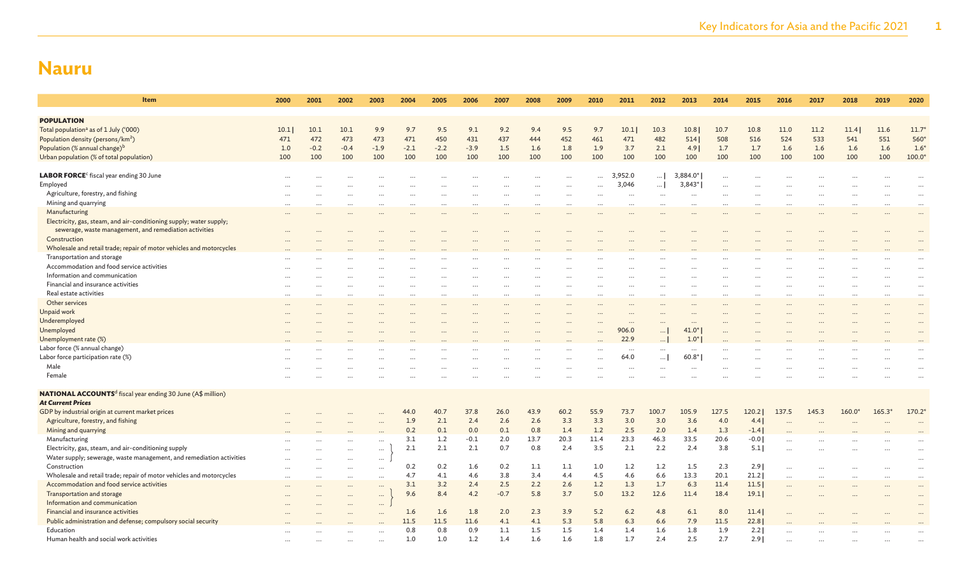| Item                                                                          | 2000      | 2001   | 2002      | 2003     | 2004   | 2005   | 2006   | 2007   | 2008 | 2009      | 2010      | 2011      | 2012     | 2013       | 2014     | 2015   | 2016  | 2017  | 2018     | 2019     | 2020     |
|-------------------------------------------------------------------------------|-----------|--------|-----------|----------|--------|--------|--------|--------|------|-----------|-----------|-----------|----------|------------|----------|--------|-------|-------|----------|----------|----------|
|                                                                               |           |        |           |          |        |        |        |        |      |           |           |           |          |            |          |        |       |       |          |          |          |
| <b>POPULATION</b>                                                             |           |        |           |          |        |        |        |        |      |           |           |           |          |            |          |        |       |       |          |          |          |
| Total population <sup>a</sup> as of 1 July ('000)                             | 10.1      | 10.1   | 10.1      | 9.9      | 9.7    | 9.5    | 9.1    | 9.2    | 9.4  | 9.5       | 9.7       | 10.1      | 10.3     | 10.8       | 10.7     | 10.8   | 11.0  | 11.2  | 11.4     | 11.6     | $11.7*$  |
| Population density (persons/km <sup>2</sup> )                                 | 471       | 472    | 473       | 473      | 471    | 450    | 431    | 437    | 444  | 452       | 461       | 471       | 482      | 514        | 508      | 516    | 524   | 533   | 541      | 551      | 560*     |
| Population (% annual change) <sup>b</sup>                                     | 1.0       | $-0.2$ | $-0.4$    | $-1.9$   | $-2.1$ | $-2.2$ | $-3.9$ | 1.5    | 1.6  | 1.8       | 1.9       | 3.7       | 2.1      | 4.9        | 1.7      | 1.7    | 1.6   | 1.6   | 1.6      | 1.6      | $1.6*$   |
| Urban population (% of total population)                                      | 100       | 100    | 100       | 100      | 100    | 100    | 100    | 100    | 100  | 100       | 100       | 100       | 100      | 100        | 100      | 100    | 100   | 100   | 100      | 100      | 100.0    |
|                                                                               |           |        |           |          |        |        |        |        |      |           |           |           |          |            |          |        |       |       |          |          |          |
| LABOR FORCE <sup>c</sup> fiscal year ending 30 June                           |           |        |           |          |        |        |        |        |      | $\ddotsc$ | $\cdots$  | ,952.0    | $\ldots$ | $3,884.0*$ | $\cdots$ |        |       |       |          |          |          |
| Employed                                                                      |           |        |           |          |        |        |        |        |      | $\ddotsc$ | $\ddotsc$ | 3,046     | $\ldots$ | 3,843*     |          |        |       |       |          |          |          |
| Agriculture, forestry, and fishing                                            |           |        |           |          |        |        |        |        |      | $\ddotsc$ |           |           | $\cdots$ | $\ddotsc$  |          |        |       |       |          |          |          |
| Mining and quarrying                                                          |           |        |           |          |        |        |        |        |      |           |           |           |          |            |          |        |       |       |          |          |          |
| Manufacturing                                                                 |           |        |           |          |        |        |        |        |      |           |           |           |          |            |          |        |       |       |          |          | $\ddots$ |
| Electricity, gas, steam, and air-conditioning supply; water supply;           |           |        |           |          |        |        |        |        |      |           |           |           |          |            |          |        |       |       |          |          |          |
| sewerage, waste management, and remediation activities                        |           |        |           |          |        |        |        |        |      |           |           |           |          |            |          |        |       |       |          |          |          |
| Construction                                                                  |           |        |           |          |        |        |        |        |      |           |           |           |          |            |          |        |       |       |          |          |          |
| Wholesale and retail trade; repair of motor vehicles and motorcycles          |           |        |           |          |        |        |        |        |      |           |           |           |          |            |          |        |       |       |          |          |          |
| Transportation and storage                                                    |           |        |           |          |        |        |        |        |      |           |           |           |          |            |          |        |       |       |          |          |          |
| Accommodation and food service activities                                     |           |        |           |          |        |        |        |        |      |           |           |           |          |            |          |        |       |       |          |          |          |
| Information and communication                                                 |           |        |           |          |        |        |        |        |      |           |           |           |          |            |          |        |       |       |          |          |          |
| Financial and insurance activities                                            |           |        |           |          |        |        |        |        |      |           |           |           |          |            |          |        |       |       |          |          |          |
| Real estate activities                                                        |           |        |           |          |        |        |        |        |      |           |           |           |          |            |          |        |       |       |          |          |          |
| Other services                                                                |           |        |           |          |        | $\sim$ |        |        |      | $\ddotsc$ | $\cdots$  |           |          | $\ddotsc$  |          |        |       |       |          |          |          |
|                                                                               |           |        |           |          |        |        |        |        |      |           |           |           |          |            |          |        |       |       |          |          |          |
| Unpaid work                                                                   |           |        |           |          |        |        |        |        |      |           |           |           |          |            |          |        |       |       |          |          |          |
| Underemployed                                                                 |           |        |           |          |        |        |        |        |      |           |           |           |          |            |          |        |       |       |          |          |          |
| Unemployed                                                                    |           |        |           |          |        |        |        |        |      |           |           | 906.0     | $\ldots$ | $41.0*$    |          |        |       |       |          |          |          |
| Unemployment rate (%)                                                         |           |        |           |          |        |        |        |        |      |           |           | 22.9      | $\ldots$ | $1.0*$     |          |        |       |       |          |          |          |
| Labor force (% annual change)                                                 |           |        |           |          |        |        |        |        |      |           |           | $\ddotsc$ | $\cdots$ |            |          |        |       |       |          |          |          |
| Labor force participation rate (%)                                            |           |        |           |          |        |        |        |        |      |           |           | 64.0      | $\ldots$ | $60.8*$    |          |        |       |       |          |          |          |
| Male                                                                          |           |        |           |          |        |        |        |        |      |           | $\cdots$  | $\ddotsc$ | $\cdots$ |            |          |        |       |       |          |          |          |
| Female                                                                        |           |        |           |          |        |        |        |        |      |           |           |           |          |            |          |        |       |       |          |          |          |
|                                                                               |           |        |           |          |        |        |        |        |      |           |           |           |          |            |          |        |       |       |          |          |          |
| <b>NATIONAL ACCOUNTS<sup>d</sup></b> fiscal year ending 30 June (A\$ million) |           |        |           |          |        |        |        |        |      |           |           |           |          |            |          |        |       |       |          |          |          |
| <b>At Current Prices</b>                                                      |           |        |           |          |        |        |        |        |      |           |           |           |          |            |          |        |       |       |          |          |          |
| GDP by industrial origin at current market prices                             |           |        |           |          | 44.0   | 40.7   | 37.8   | 26.0   | 43.9 | 60.2      | 55.9      | 73.7      | 100.7    | 105.9      | 127.5    | 120.2  | 137.5 | 145.3 | $160.0*$ | $165.3*$ | 170.2    |
| Agriculture, forestry, and fishing                                            |           |        |           |          | 1.9    | 2.1    | 2.4    | 2.6    | 2.6  | 3.3       | 3.3       | 3.0       | 3.0      | 3.6        | 4.0      | 4.4    |       |       |          |          |          |
| Mining and quarrying                                                          |           |        |           |          | 0.2    | 0.1    | 0.0    | 0.1    | 0.8  | 1.4       | 1.2       | 2.5       | 2.0      | 1.4        | 1.3      | $-1.4$ |       |       |          |          |          |
| Manufacturing                                                                 |           |        |           | $\cdots$ | 3.1    | 1.2    | $-0.1$ | 2.0    | 13.7 | 20.3      | 11.4      | 23.3      | 46.3     | 33.5       | 20.6     | $-0.0$ |       |       |          |          |          |
| Electricity, gas, steam, and air-conditioning supply                          |           |        | $\cdots$  | $\cdots$ | 2.1    | 2.1    | 2.1    | 0.7    | 0.8  | 2.4       | 3.5       | 2.1       | 2.2      | 2.4        | 3.8      | 5.1    |       |       |          |          | $\cdots$ |
| Water supply; sewerage, waste management, and remediation activities          |           |        |           | $\cdots$ |        |        |        |        |      |           |           |           |          |            |          |        |       |       |          |          | $\cdots$ |
| Construction                                                                  |           |        | $\cdots$  | $\cdots$ | 0.2    | 0.2    | 1.6    | 0.2    | 1.1  | 1.1       | 1.0       | 1.2       | 1.2      | 1.5        | 2.3      | 2.91   |       |       |          |          |          |
| Wholesale and retail trade; repair of motor vehicles and motorcycles          | $\ddotsc$ | .      | $\cdots$  | $\cdots$ | 4.7    | 4.1    | 4.6    | 3.8    | 3.4  | 4.4       | 4.5       | 4.6       | 6.6      | 13.3       | 20.1     | 21.2   |       |       |          | $\cdots$ | $\cdots$ |
| Accommodation and food service activities                                     |           |        | $\ddotsc$ | $\cdots$ | 3.1    | 3.2    | 2.4    | 2.5    | 2.2  | 2.6       | 1.2       | 1.3       | 1.7      | 6.3        | 11.4     | 11.5   |       |       |          |          |          |
| Transportation and storage                                                    |           |        |           | $\cdots$ | 9.6    | 8.4    | 4.2    | $-0.7$ | 5.8  | 3.7       | 5.0       | 13.2      | 12.6     | 11.4       | 18.4     | 19.1   |       |       |          |          | $\cdots$ |
| Information and communication                                                 |           |        |           | $\cdots$ |        |        |        |        |      |           |           |           |          |            |          |        |       |       |          |          |          |
| Financial and insurance activities                                            |           |        |           |          | 1.6    | 1.6    | 1.8    | 2.0    | 2.3  | 3.9       | 5.2       | 6.2       | 4.8      | 6.1        | 8.0      | 11.4   |       |       |          |          |          |
| Public administration and defense; compulsory social security                 |           |        |           |          | 11.5   | 11.5   | 11.6   | 4.1    | 4.1  | 5.3       | 5.8       | 6.3       | 6.6      | 7.9        | 11.5     | 22.8   |       |       |          |          |          |
| Education                                                                     |           |        |           |          | 0.8    | 0.8    | 0.9    | 1.1    | 1.5  | 1.5       | 1.4       | 1.4       | 1.6      | 1.8        | 1.9      | 2.2    |       |       |          |          |          |
| Human health and social work activities                                       |           |        |           |          | 1.0    | 1.0    | 1.2    | 1.4    | 1.6  | 1.6       | 1.8       | 1.7       | 2.4      | 2.5        | 2.7      | 2.91   |       |       |          |          |          |
|                                                                               |           |        |           |          |        |        |        |        |      |           |           |           |          |            |          |        |       |       |          |          |          |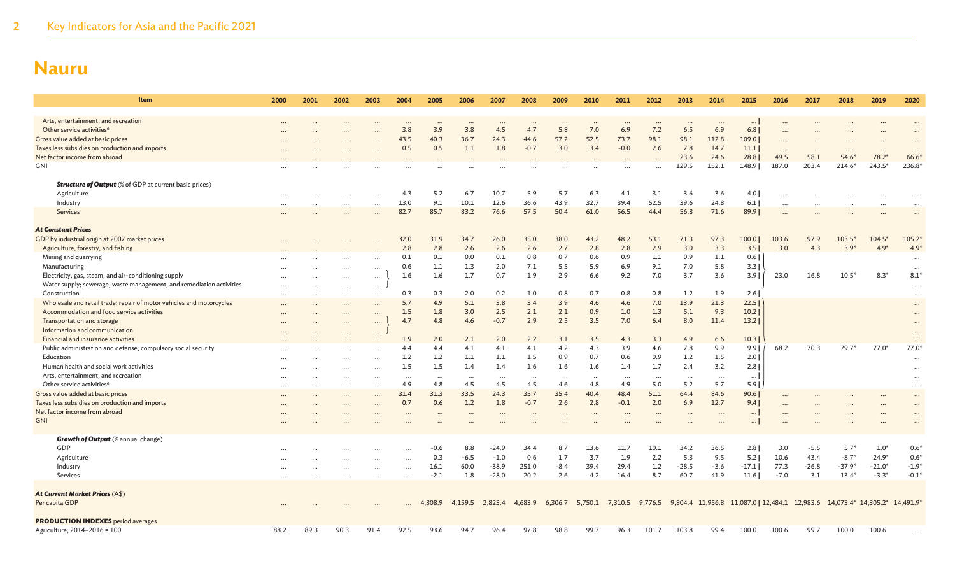| <b>Item</b>                                                          | 2000     | 2001     | 2002                             | 2003                 | 2004            | 2005            | 2006             | 2007    | 2008            | 2009            | 2010            | 2011    | 2012            | 2013            | 2014            | 2015            | 2016     | 2017    | 2018                                                                                             | 2019                 | 2020                 |
|----------------------------------------------------------------------|----------|----------|----------------------------------|----------------------|-----------------|-----------------|------------------|---------|-----------------|-----------------|-----------------|---------|-----------------|-----------------|-----------------|-----------------|----------|---------|--------------------------------------------------------------------------------------------------|----------------------|----------------------|
| Arts, entertainment, and recreation                                  |          |          |                                  |                      |                 |                 |                  |         |                 |                 |                 |         |                 |                 |                 |                 |          |         |                                                                                                  |                      |                      |
| Other service activities <sup>e</sup>                                |          |          |                                  |                      | $\cdots$<br>3.8 | $\cdots$<br>3.9 | $\ddotsc$<br>3.8 | <br>4.5 | 4.7             | $\cdots$<br>5.8 | $\cdots$<br>7.0 | 6.9     | $\cdots$<br>7.2 | $\cdots$<br>6.5 | 6.9             | $\cdots$<br>6.8 |          |         |                                                                                                  |                      |                      |
| Gross value added at basic prices                                    |          |          |                                  |                      | 43.5            | 40.3            | 36.7             | 24.3    | 44.6            | 57.2            | 52.5            | 73.7    | 98.1            | 98.1            | 112.8           | 109.0           |          |         |                                                                                                  |                      |                      |
| Taxes less subsidies on production and imports                       |          |          |                                  | $\cdots$             | 0.5             | 0.5             | 1.1              | 1.8     | $-0.7$          | 3.0             | 3.4             | $-0.0$  | 2.6             | 7.8             | 14.7            | 11.1            |          |         |                                                                                                  |                      |                      |
| Net factor income from abroad                                        |          |          |                                  |                      |                 |                 |                  |         |                 |                 |                 |         |                 | 23.6            | 24.6            | 28.8            | <br>49.5 | 58.1    | $\cdots$<br>$54.6*$                                                                              | $\ddotsc$<br>$78.2*$ | <br>66.6             |
| <b>GNI</b>                                                           |          |          |                                  |                      |                 |                 |                  |         |                 |                 |                 |         |                 | 129.5           | 152.1           | 148.9           | 187.0    | 203.4   | $214.6*$                                                                                         | 243.5*               | 236.8                |
|                                                                      |          |          |                                  |                      |                 |                 |                  |         |                 |                 |                 |         |                 |                 |                 |                 |          |         |                                                                                                  |                      |                      |
| <b>Structure of Output</b> (% of GDP at current basic prices)        |          |          |                                  |                      |                 |                 |                  |         |                 |                 |                 |         |                 |                 |                 |                 |          |         |                                                                                                  |                      |                      |
| Agriculture                                                          |          |          |                                  | $\cdots$             | 4.3             | 5.2             | 6.7              | 10.7    | 5.9             | 5.7             | 6.3             | 4.1     | 3.1             | 3.6             | 3.6             | 4.0             |          |         |                                                                                                  |                      |                      |
| Industry                                                             |          |          | $\ddotsc$                        | $\cdots$             | 13.0            | 9.1             | 10.1             | 12.6    | 36.6            | 43.9            | 32.7            | 39.4    | 52.5            | 39.6            | 24.8            | 6.1             |          |         |                                                                                                  |                      |                      |
| Services                                                             |          |          | $\cdots$                         | $\cdots$             | 82.7            | 85.7            | 83.2             | 76.6    | 57.5            | 50.4            | 61.0            | 56.5    | 44.4            | 56.8            | 71.6            | 89.9            |          |         |                                                                                                  |                      |                      |
| <b>At Constant Prices</b>                                            |          |          |                                  |                      |                 |                 |                  |         |                 |                 |                 |         |                 |                 |                 |                 |          |         |                                                                                                  |                      |                      |
| GDP by industrial origin at 2007 market prices                       |          |          |                                  |                      | 32.0            | 31.9            | 34.7             | 26.0    | 35.0            | 38.0            | 43.2            | 48.2    | 53.1            | 71.3            | 97.3            | 100.0           | 103.6    | 97.9    | $103.5*$                                                                                         | $104.5*$             | $105.2*$             |
| Agriculture, forestry, and fishing                                   |          |          |                                  |                      | 2.8             | 2.8             | 2.6              | 2.6     | 2.6             | 2.7             | 2.8             | 2.8     | 2.9             | 3.0             | 3.3             | 3.5             | 3.0      | 4.3     | $3.9*$                                                                                           | 4.9                  | $4.9*$               |
| Mining and quarrying                                                 |          |          |                                  |                      | 0.1             | 0.1             | 0.0              | 0.1     | 0.8             | 0.7             | 0.6             | 0.9     | 1.1             | 0.9             | 1.1             | 0.6             |          |         |                                                                                                  |                      |                      |
| Manufacturing                                                        |          |          |                                  | $\cdots$             | 0.6             | 1.1             | 1.3              | 2.0     | 7.1             | 5.5             | 5.9             | 6.9     | 9.1             | 7.0             | 5.8             | 3.3             |          |         |                                                                                                  |                      | $\cdots$<br>$\cdots$ |
| Electricity, gas, steam, and air-conditioning supply                 |          |          | $\ddotsc$<br>$\cdots$            | $\cdots$             | 1.6             | 1.6             | 1.7              | 0.7     | 1.9             | 2.9             | 6.6             | 9.2     | 7.0             | 3.7             | 3.6             | 3.9             | 23.0     | 16.8    | $10.5*$                                                                                          | $8.3*$               | $8.1*$               |
| Water supply; sewerage, waste management, and remediation activities |          |          | $\cdots$                         | $\cdots$<br>$\cdots$ |                 |                 |                  |         |                 |                 |                 |         |                 |                 |                 |                 |          |         |                                                                                                  |                      |                      |
| Construction                                                         |          |          | $\cdots$                         | $\cdots$             | 0.3             | 0.3             | 2.0              | 0.2     | 1.0             | 0.8             | 0.7             | 0.8     | 0.8             | 1.2             | 1.9             | 2.6             |          |         |                                                                                                  |                      |                      |
| Wholesale and retail trade; repair of motor vehicles and motorcycles |          |          |                                  |                      | 5.7             | 4.9             | 5.1              | 3.8     | 3.4             | 3.9             | 4.6             | 4.6     | 7.0             | 13.9            | 21.3            | 22.5            |          |         |                                                                                                  |                      |                      |
| Accommodation and food service activities                            | $\cdots$ | $\cdots$ | $\cdots$                         | $\cdots$             | 1.5             | 1.8             | 3.0              | 2.5     | 2.1             | 2.1             | 0.9             | 1.0     | 1.3             | 5.1             | 9.3             | 10.2            |          |         |                                                                                                  |                      |                      |
| Transportation and storage                                           |          |          | $\cdots$                         | $\cdots$             | 4.7             | 4.8             | 4.6              | $-0.7$  | 2.9             | 2.5             | 3.5             | 7.0     | 6.4             | 8.0             | 11.4            | 13.2            |          |         |                                                                                                  |                      |                      |
| Information and communication                                        |          |          | $\cdots$<br>$\ddot{\phantom{a}}$ | $\cdots$<br>$\cdots$ |                 |                 |                  |         |                 |                 |                 |         |                 |                 |                 |                 |          |         |                                                                                                  |                      |                      |
| Financial and insurance activities                                   |          |          |                                  |                      | 1.9             | 2.0             | 2.1              | 2.0     | 2.2             | 3.1             | 3.5             | 4.3     | 3.3             | 4.9             | 6.6             | 10.3            |          |         |                                                                                                  |                      |                      |
| Public administration and defense; compulsory social security        |          |          |                                  |                      | 4.4             | 4.4             | 4.1              | 4.1     | 4.1             | 4.2             | 4.3             | 3.9     | 4.6             | 7.8             | 9.9             | 9.9             | 68.2     | 70.3    | $79.7*$                                                                                          | $77.0*$              | 77.0                 |
| Education                                                            |          |          |                                  |                      | 1.2             | 1.2             | 1.1              | 1.1     | 1.5             | 0.9             | 0.7             | 0.6     | 0.9             | 1.2             | 1.5             | 2.0             |          |         |                                                                                                  |                      |                      |
| Human health and social work activities                              |          |          | $\cdots$                         | $\cdots$             | 1.5             | 1.5             | 1.4              | 1.4     | 1.6             | 1.6             | 1.6             | 1.4     | 1.7             | 2.4             | 3.2             | 2.8             |          |         |                                                                                                  |                      |                      |
| Arts, entertainment, and recreation                                  |          |          | $\ddotsc$                        | $\ddotsc$            |                 |                 |                  |         |                 |                 |                 |         |                 |                 |                 | $\ldots$        |          |         |                                                                                                  |                      |                      |
| Other service activities <sup>e</sup>                                |          |          |                                  | $\cdots$             | 4.9             | $\ldots$<br>4.8 | $\cdots$<br>4.5  | <br>4.5 | $\cdots$<br>4.5 | $\cdots$<br>4.6 | $\cdots$<br>4.8 | <br>4.9 | $\cdots$<br>5.0 | $\cdots$<br>5.2 | $\cdots$<br>5.7 | 5.9             |          |         |                                                                                                  |                      |                      |
| Gross value added at basic prices                                    |          |          | $\cdots$                         | $\cdots$             | 31.4            | 31.3            | 33.5             | 24.3    | 35.7            | 35.4            | 40.4            | 48.4    | 51.1            | 64.4            | 84.6            | 90.6            |          |         |                                                                                                  |                      |                      |
| Taxes less subsidies on production and imports                       |          |          | $\cdots$                         | $\cdots$<br>$\cdots$ | 0.7             | 0.6             | 1.2              | 1.8     | $-0.7$          | 2.6             | 2.8             | $-0.1$  | 2.0             | 6.9             | 12.7            | 9.4             |          |         |                                                                                                  |                      | <br>                 |
| Net factor income from abroad                                        |          |          |                                  |                      |                 |                 |                  |         |                 |                 |                 |         |                 |                 |                 | $\cdots$        |          |         |                                                                                                  |                      |                      |
| <b>GNI</b>                                                           |          |          |                                  |                      |                 |                 |                  |         |                 |                 |                 |         |                 |                 |                 |                 |          |         |                                                                                                  |                      |                      |
|                                                                      |          |          |                                  |                      |                 |                 |                  |         |                 |                 |                 |         |                 |                 |                 |                 |          |         |                                                                                                  |                      |                      |
| <b>Growth of Output</b> (% annual change)                            |          |          |                                  |                      |                 |                 |                  |         |                 |                 |                 |         |                 |                 |                 |                 |          |         |                                                                                                  |                      |                      |
| GDP                                                                  |          |          |                                  |                      |                 | -0.6            | 8.8              | $-24.9$ | 34.4            | 8.7             | 13.6            | 11.7    | 10.1            | 34.2            | 36.5            | 2.8             | 3.0      | $-5.5$  | $5.7*$                                                                                           | $1.0*$               | $0.6*$               |
| Agriculture                                                          |          |          |                                  |                      | $\cdots$        | 0.3             | $-6.5$           | $-1.0$  | 0.6             | 1.7             | 3.7             | 1.9     | 2.2             | 5.3             | 9.5             | 5.2             | 10.6     | 43.4    | $-8.7*$                                                                                          | $24.9*$              | $0.6*$               |
| Industry                                                             |          |          |                                  |                      | $\cdots$        | 16.1            | 60.0             | $-38.9$ | 251.0           | $-8.4$          | 39.4            | 29.4    | 1.2             | $-28.5$         | $-3.6$          | $-17.1$         | 77.3     | $-26.8$ | $-37.9*$                                                                                         | $-21.0*$             | $-1.9*$              |
| Services                                                             |          |          |                                  |                      |                 | $-2.1$          | 1.8              | $-28.0$ | 20.2            | 2.6             | 4.2             | 16.4    | 8.7             | 60.7            | 41.9            | 11.6            | $-7.0$   | 3.1     | $13.4*$                                                                                          | $-3.3*$              | $-0.1*$              |
| <b>At Current Market Prices (A\$)</b>                                |          |          |                                  |                      |                 |                 |                  |         |                 |                 |                 |         |                 |                 |                 |                 |          |         |                                                                                                  |                      |                      |
| Per capita GDP                                                       |          |          |                                  |                      |                 | 4,308.9         | 4,159.5          | 2,823.4 | 4,683.9         | 6,306.7         |                 |         |                 |                 |                 |                 |          |         | 5,750.1 7,310.5 9,776.5 9,804.4 11,956.8 11,087.0 12,484.1 12,983.6 14,073.4* 14,305.2* 14,491.9 |                      |                      |
|                                                                      |          |          |                                  |                      |                 |                 |                  |         |                 |                 |                 |         |                 |                 |                 |                 |          |         |                                                                                                  |                      |                      |
| <b>PRODUCTION INDEXES</b> period averages                            |          |          |                                  |                      |                 |                 |                  |         |                 |                 |                 |         |                 |                 |                 |                 |          |         |                                                                                                  |                      |                      |
| Agriculture; 2014-2016 = 100                                         | 88.2     | 89.3     | 90.3                             | 91.4                 | 92.5            | 93.6            | 94.7             | 96.4    | 97.8            | 98.8            | 99.7            | 96.3    | 101.7           | 103.8           | 99.4            | 100.0           | 100.6    | 99.7    | 100.0                                                                                            | 100.6                |                      |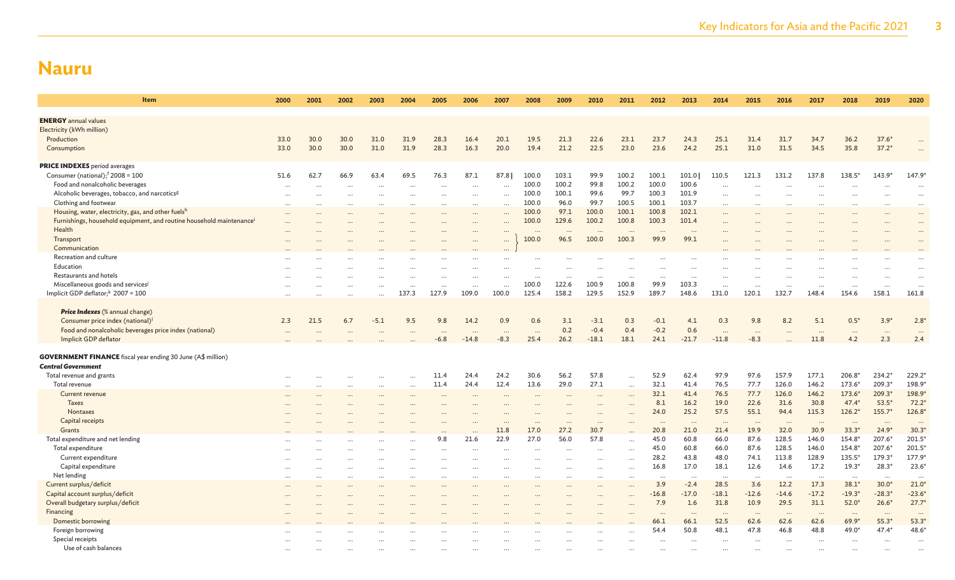| Item                                                                                                                                  | 2000     | 2001                 | 2002      | 2003                 | 2004           | 2005                 | 2006                | 2007          | 2008           | 2009                         | 2010                 | 2011               | 2012           | 2013              | 2014                | 2015               | 2016                 | 2017                 | 2018              | 2019                 | 2020                  |
|---------------------------------------------------------------------------------------------------------------------------------------|----------|----------------------|-----------|----------------------|----------------|----------------------|---------------------|---------------|----------------|------------------------------|----------------------|--------------------|----------------|-------------------|---------------------|--------------------|----------------------|----------------------|-------------------|----------------------|-----------------------|
|                                                                                                                                       |          |                      |           |                      |                |                      |                     |               |                |                              |                      |                    |                |                   |                     |                    |                      |                      |                   |                      |                       |
| <b>ENERGY</b> annual values<br>Electricity (kWh million)                                                                              |          |                      |           |                      |                |                      |                     |               |                |                              |                      |                    |                |                   |                     |                    |                      |                      |                   |                      |                       |
| Production                                                                                                                            | 33.0     | 30.0                 | 30.0      | 31.0                 | 31.9           | 28.3                 | 16.4                | 20.1          | 19.5           | 21.3                         | 22.6                 | 23.1               | 23.7           | 24.3              | 25.1                | 31.4               | 31.7                 | 34.7                 | 36.2              | $37.6*$              |                       |
| Consumption                                                                                                                           | 33.0     | 30.0                 | 30.0      | 31.0                 | 31.9           | 28.3                 | 16.3                | 20.0          | 19.4           | 21.2                         | 22.5                 | 23.0               | 23.6           | 24.2              | 25.1                | 31.0               | 31.5                 | 34.5                 | 35.8              | $37.2*$              |                       |
|                                                                                                                                       |          |                      |           |                      |                |                      |                     |               |                |                              |                      |                    |                |                   |                     |                    |                      |                      |                   |                      |                       |
| <b>PRICE INDEXES</b> period averages                                                                                                  |          |                      |           |                      |                |                      |                     |               |                |                              |                      |                    |                |                   |                     |                    |                      |                      |                   |                      |                       |
| Consumer (national); $f$ 2008 = 100                                                                                                   | 51.6     | 62.7                 | 66.9      | 63.4                 | 69.5           | 76.3                 | 87.1                | 87.8          | 100.0          | 103.1                        | 99.9                 | 100.2              | 100.1          | 101.0             | 110.5               | 121.3              | 131.2                | 137.8                | $138.5*$          | $143.9*$             | 147.9*                |
| Food and nonalcoholic beverages                                                                                                       |          | $\ddot{\phantom{a}}$ |           | $\ddot{\phantom{a}}$ | $\ddotsc$      | $\ddotsc$            | $\cdots$            | $\cdots$      | 100.0          | 100.2                        | 99.8                 | 100.2              | 100.0          | 100.6             | $\ddotsc$           |                    |                      | $\ddot{\phantom{a}}$ | $\ddotsc$         |                      | $\cdots$              |
| Alcoholic beverages, tobacco, and narcotics <sup>g</sup>                                                                              |          |                      | $\ddotsc$ | $\ddotsc$            |                |                      | $\ddots$            |               | 100.0          | 100.1                        | 99.6                 | 99.7               | 100.3          | 101.9             | $\ddots$            |                    | $\ddot{\phantom{a}}$ |                      |                   |                      | $\cdots$              |
| Clothing and footwear                                                                                                                 | $\cdots$ |                      | $\ddotsc$ | $\cdots$             | $\overline{a}$ | $\cdots$             | $\cdots$            | $\ddotsc$     | 100.0          | 96.0                         | 99.7                 | 100.5              | 100.1          | 103.7<br>102.1    | $\cdots$            | $\ddotsc$          | $\ddotsc$            | $\sim$               | $\cdots$          | $\ddot{\phantom{a}}$ | $\cdots$              |
| Housing, water, electricity, gas, and other fuels <sup>t</sup><br>Furnishings, household equipment, and routine household maintenance |          |                      |           |                      |                | $\cdots$             | $\ddotsc$           | $\ddotsc$     | 100.0<br>100.0 | 97.1<br>129.6                | 100.0<br>100.2       | 100.1<br>100.8     | 100.8<br>100.3 | 101.4             | $\ddotsc$           |                    |                      |                      | $\ddotsc$         |                      | $\cdots$              |
| Health                                                                                                                                |          |                      |           |                      |                | $\ddotsc$            | $\ddots$            | $\ddotsc$     |                |                              |                      |                    |                |                   | $\ddotsc$           |                    |                      |                      | $\ddotsc$         |                      | $\cdots$              |
| Transport                                                                                                                             |          |                      |           |                      |                |                      | $\ddots$            | $\ddotsc$<br> | 100.0          | $\ddot{\phantom{a}}$<br>96.5 | 100.0                | $\ddotsc$<br>100.3 | 99.9           | $\ddotsc$<br>99.1 |                     |                    |                      |                      |                   |                      | $\cdots$<br>$\ddotsc$ |
| Communication                                                                                                                         |          |                      |           |                      |                |                      |                     | $\cdots$      |                |                              |                      |                    |                |                   |                     |                    |                      |                      |                   |                      |                       |
| Recreation and culture                                                                                                                |          |                      |           |                      |                |                      |                     |               |                | $\ddotsc$                    |                      |                    |                |                   |                     |                    |                      |                      |                   |                      |                       |
| Education                                                                                                                             |          |                      |           |                      |                |                      | $\cdots$            |               |                | $\cdots$                     | $\ddotsc$            |                    | $\cdots$       | $\ddotsc$         |                     |                    |                      |                      |                   |                      | $\cdots$              |
| Restaurants and hotels                                                                                                                |          |                      |           |                      |                | $\ddot{\phantom{a}}$ |                     |               | $\cdots$       | $\cdots$                     | $\ddots$             | $\cdots$           | $\ddots$       | $\ddotsc$         |                     |                    |                      |                      |                   |                      | $\ddotsc$             |
| Miscellaneous goods and services <sup>j</sup>                                                                                         |          |                      |           |                      |                |                      | $\ddots$            |               | 100.0          | 122.6                        | 100.9                | 100.8              | 99.9           | 103.3             | $\ddots$            |                    |                      | $\ddotsc$            |                   |                      | $\cdots$              |
| Implicit GDP deflator; $k$ 2007 = 100                                                                                                 | $\cdots$ |                      | $\ddotsc$ | $\cdots$             | 137.3          | 127.9                | 109.0               | 100.0         | 125.4          | 158.2                        | 129.5                | 152.9              | 189.7          | 148.6             | 131.0               | 120.1              | 132.7                | 148.4                | 154.6             | 158.1                | 161.8                 |
|                                                                                                                                       |          |                      |           |                      |                |                      |                     |               |                |                              |                      |                    |                |                   |                     |                    |                      |                      |                   |                      |                       |
| Price Indexes (% annual change)                                                                                                       |          |                      |           |                      |                |                      |                     |               |                |                              |                      |                    |                |                   |                     |                    |                      |                      |                   |                      |                       |
| Consumer price index (national) <sup>1</sup>                                                                                          | 2.3      | 21.5                 | 6.7       | $-5.1$               | 9.5            | 9.8                  | 14.2                | 0.9           | 0.6            | 3.1                          | $-3.1$               | 0.3<br>0.4         | $-0.1$         | 4.1               | 0.3                 | 9.8                | 8.2                  | 5.1                  | $0.5*$            | $3.9*$               | $2.8^*$               |
| Food and nonalcoholic beverages price index (national)<br>Implicit GDP deflator                                                       | $\cdots$ |                      |           |                      |                | <br>-6.8             | $\cdots$<br>$-14.8$ | <br>$-8.3$    | 25.4           | 0.2<br>26.2                  | $-0.4$<br>$-18.1$    | 18.1               | $-0.2$<br>24.1 | 0.6<br>$-21.7$    | $\ddots$<br>$-11.8$ | $\cdots$<br>$-8.3$ |                      | $\cdot$<br>11.8      | $\cdots$<br>4.2   | $\ddotsc$<br>2.3     | $\cdots$<br>2.4       |
|                                                                                                                                       |          |                      |           |                      |                |                      |                     |               |                |                              |                      |                    |                |                   |                     |                    |                      |                      |                   |                      |                       |
| <b>GOVERNMENT FINANCE</b> fiscal year ending 30 June (A\$ million)                                                                    |          |                      |           |                      |                |                      |                     |               |                |                              |                      |                    |                |                   |                     |                    |                      |                      |                   |                      |                       |
| <b>Central Government</b>                                                                                                             |          |                      |           |                      |                |                      |                     |               |                |                              |                      |                    |                |                   |                     |                    |                      |                      |                   |                      |                       |
| Total revenue and grants                                                                                                              |          |                      |           |                      |                | 11.4                 | 24.4                | 24.2          | 30.6           | 56.2                         | 57.8                 |                    | 52.9           | 62.4              | 97.9                | 97.6               | 157.9                | 177.1                | 206.8*            | $234.2*$             | 229.2                 |
| Total revenue                                                                                                                         | $\cdots$ |                      | $\cdots$  | $\cdots$             | $\cdots$       | 11.4                 | 24.4                | 12.4          | 13.6           | 29.0                         | 27.1                 | $\ldots$           | 32.1           | 41.4              | 76.5                | 77.7               | 126.0                | 146.2                | 173.6*            | 209.3*               | 198.9                 |
| Current revenue                                                                                                                       |          |                      |           |                      |                |                      | $\cdots$            |               |                |                              |                      |                    | 32.1           | 41.4              | 76.5                | 77.7               | 126.0                | 146.2                | $173.6*$          | $209.3*$             | 198.9*                |
| Taxes                                                                                                                                 |          |                      |           |                      |                |                      | $\cdots$            |               |                |                              | $\cdots$             |                    | 8.1            | 16.2              | 19.0                | 22.6               | 31.6                 | 30.8                 | $47.4*$           | $53.5*$              | $72.2*$               |
| Nontaxes                                                                                                                              |          |                      |           |                      |                |                      |                     |               |                |                              | $\ddots$             |                    | 24.0           | 25.2              | 57.5                | 55.1               | 94.4                 | 115.3                | $126.2*$          | 155.7*               | 126.8*                |
| Capital receipts                                                                                                                      |          |                      |           |                      |                |                      |                     |               | $\ddots$       | $\cdots$                     | $\cdots$             |                    | $\cdots$       | $\cdots$          | $\cdots$            | $\cdots$           | $\ddots$             | $\cdots$             | $\cdots$          | $\ddots$             | $\cdots$              |
| Grants                                                                                                                                |          |                      |           |                      |                | 9.8                  | $\ddots$            | 11.8<br>22.9  | 17.0           | 27.2<br>56.0                 | 30.7<br>57.8         |                    | 20.8           | 21.0<br>60.8      | 21.4<br>66.0        | 19.9               | 32.0<br>128.5        | 30.9<br>146.0        | $33.3*$<br>154.8* | 24.9'<br>$207.6*$    | $30.3*$<br>201.5*     |
| Total expenditure and net lending<br>Total expenditure                                                                                |          |                      |           |                      |                |                      | 21.6                |               | 27.0           |                              |                      |                    | 45.0<br>45.0   | 60.8              | 66.0                | 87.6<br>87.6       | 128.5                | 146.0                | 154.8*            | 207.6*               | 201.5*                |
| Current expenditure                                                                                                                   |          |                      |           |                      |                |                      |                     |               |                |                              |                      |                    | 28.2           | 43.8              | 48.0                | 74.1               | 113.8                | 128.9                | $135.5*$          | $179.3*$             | 177.9                 |
| Capital expenditure                                                                                                                   |          |                      | $\cdots$  |                      | $\ddots$       | $\cdots$<br>         | <br>$\ddots$        |               |                | $\cdots$<br>                 | $\cdots$<br>$\ddots$ | $\cdots$<br>       | 16.8           | 17.0              | 18.1                | 12.6               | 14.6                 | 17.2                 | $19.3*$           | $28.3*$              | $23.6^*$              |
| Net lending                                                                                                                           | $\cdots$ |                      | $\ddots$  |                      |                |                      | $\ddots$            |               |                | $\cdots$                     | $\cdots$             |                    | $\cdots$       | $\cdots$          | $\cdots$            | $\cdots$           | $\ddots$             | $\cdots$             | $\ldots$          | $\ddots$             | $\cdots$              |
| Current surplus/deficit                                                                                                               |          |                      |           |                      |                |                      |                     |               |                |                              | $\ddots$             |                    | 3.9            | $-2.4$            | 28.5                | 3.6                | 12.2                 | 17.3                 | $38.1*$           | $30.0*$              | $21.0^{\circ}$        |
| Capital account surplus/deficit                                                                                                       |          |                      |           |                      |                |                      |                     |               |                |                              | $\cdots$             |                    | $-16.8$        | $-17.0$           | $-18.1$             | $-12.6$            | $-14.6$              | $-17.2$              | $-19.3*$          | $-28.3*$             | $-23.6*$              |
| Overall budgetary surplus/deficit                                                                                                     |          |                      |           |                      |                |                      |                     |               |                |                              |                      |                    | 7.9            | 1.6               | 31.8                | 10.9               | 29.5                 | 31.1                 | $52.0*$           | $26.6*$              | $27.7*$               |
| Financing                                                                                                                             |          |                      |           |                      |                |                      |                     |               |                |                              |                      |                    | $\ddots$       | $\cdots$          | $\ddots$            | $\cdots$           | $\cdots$             | $\cdots$             | $\cdots$          | $\ddots$             | $\cdots$              |
| Domestic borrowing                                                                                                                    |          |                      |           |                      |                |                      |                     |               |                |                              |                      |                    | 66.1           | 66.1              | 52.5                | 62.6               | 62.6                 | 62.6                 | $69.9*$           | $55.3*$              | $53.3*$               |
| Foreign borrowing                                                                                                                     |          |                      |           |                      |                |                      |                     |               |                |                              |                      |                    | 54.4           | 50.8              | 48.1                | 47.8               | 46.8                 | 48.8                 | 49.0*             | $47.4*$              | $48.6*$               |
| Special receipts                                                                                                                      |          |                      |           |                      |                |                      |                     |               |                |                              |                      |                    | $\ddotsc$      | $\ddots$          |                     |                    | $\ddotsc$            |                      |                   |                      | $\cdots$              |
| Use of cash balances                                                                                                                  |          |                      |           |                      |                |                      |                     |               |                |                              |                      |                    |                |                   |                     |                    |                      |                      |                   |                      |                       |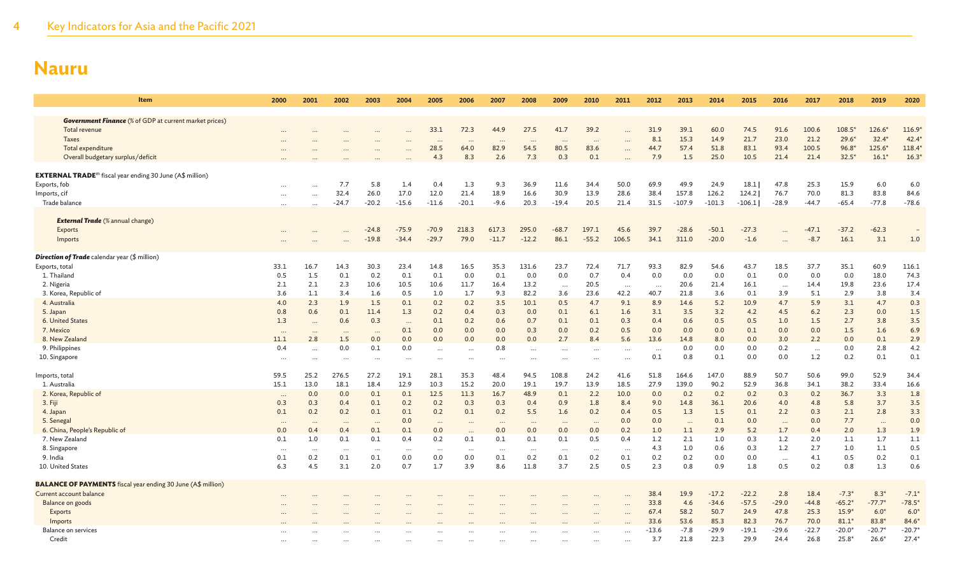| <b>Item</b>                                                                 | 2000     | 2001     | 2002                 | 2003               | 2004               | 2005     | 2006          | 2007             | 2008      | 2009             | 2010                 | 2011          | 2012         | 2013     | 2014     | 2015     | 2016      | 2017     | 2018            | 2019           | 2020     |
|-----------------------------------------------------------------------------|----------|----------|----------------------|--------------------|--------------------|----------|---------------|------------------|-----------|------------------|----------------------|---------------|--------------|----------|----------|----------|-----------|----------|-----------------|----------------|----------|
| <b>Government Finance</b> (% of GDP at current market prices)               |          |          |                      |                    |                    |          |               |                  |           |                  |                      |               |              |          |          |          |           |          |                 |                |          |
| Total revenue                                                               |          |          |                      |                    |                    | 33.1     | 72.3          | 44.9             | 27.5      | 41.7             | 39.2                 |               | 31.9         | 39.1     | 60.0     | 74.5     | 91.6      | 100.6    | $108.5*$        | $126.6*$       | 116.9    |
| <b>Taxes</b>                                                                |          |          |                      |                    |                    | $\cdots$ | $\ddotsc$     | $\cdots$         | $\ddotsc$ |                  | $\ddots$             |               | 8.1          | 15.3     | 14.9     | 21.7     | 23.0      | 21.2     | $29.6*$         | $32.4*$        | 42.4     |
| Total expenditure                                                           |          |          |                      |                    |                    | 28.5     | 64.0          | 82.9             | 54.5      | $\cdots$<br>80.5 | 83.6                 | $\cdots$      | 44.7         | 57.4     | 51.8     | 83.1     | 93.4      | 100.5    | $96.8*$         | $125.6*$       | 118.4    |
| Overall budgetary surplus/deficit                                           |          |          |                      |                    |                    | 4.3      | 8.3           | 2.6              | 7.3       | 0.3              | 0.1                  |               | 7.9          | 1.5      | 25.0     | 10.5     | 21.4      | 21.4     | $32.5*$         | $16.1*$        | 16.3'    |
|                                                                             |          |          |                      |                    |                    |          |               |                  |           |                  |                      |               |              |          |          |          |           |          |                 |                |          |
| <b>EXTERNAL TRADE</b> <sup>m</sup> fiscal year ending 30 June (A\$ million) |          |          |                      |                    |                    |          |               |                  |           |                  |                      |               |              |          |          |          |           |          |                 |                |          |
| Exports, fob                                                                |          |          | 7.7                  | 5.8                | 1.4                | 0.4      | 1.3           | 9.3              | 36.9      | 11.6             | 34.4                 | 50.0          | 69.9         | 49.9     | 24.9     | 18.1     | 47.8      | 25.3     | 15.9            | 6.0            | 6.0      |
| Imports, cif                                                                | $\cdots$ | $\cdots$ | 32.4                 | 26.0               | 17.0               | 12.0     | 21.4          | 18.9             | 16.6      | 30.9             | 13.9                 | 28.6          | 38.4         | 157.8    | 126.2    | 124.2    | 76.7      | 70.0     | 81.3            | 83.8           | 84.6     |
| Trade balance                                                               | $\cdots$ | $\cdots$ | $-24.7$              | $-20.2$            | $-15.6$            | $-11.6$  | $-20.1$       | $-9.6$           | 20.3      | $-19.4$          | 20.5                 | 21.4          | 31.5         | $-107.9$ | $-101.3$ | $-106.1$ | $-28.9$   | $-44.7$  | $-65.4$         | $-77.8$        | $-78.6$  |
|                                                                             |          |          |                      |                    |                    |          |               |                  |           |                  |                      |               |              |          |          |          |           |          |                 |                |          |
| <b>External Trade</b> (% annual change)                                     |          |          |                      |                    |                    | $-70.9$  |               |                  | 295.0     |                  | 197.1                |               |              | $-28.6$  | $-50.1$  | $-27.3$  |           | $-47.1$  |                 |                |          |
| Exports<br>Imports                                                          |          |          |                      | $-24.8$<br>$-19.8$ | $-75.9$<br>$-34.4$ | $-29.7$  | 218.3<br>79.0 | 617.3<br>$-11.7$ | $-12.2$   | $-68.7$<br>86.1  | $-55.2$              | 45.6<br>106.5 | 39.7<br>34.1 | 311.0    | $-20.0$  | $-1.6$   |           | $-8.7$   | $-37.2$<br>16.1 | $-62.3$<br>3.1 | 1.0      |
|                                                                             | $\cdots$ |          | $\ddot{\phantom{a}}$ |                    |                    |          |               |                  |           |                  |                      |               |              |          |          |          | $\ddotsc$ |          |                 |                |          |
| <b>Direction of Trade</b> calendar year (\$ million)                        |          |          |                      |                    |                    |          |               |                  |           |                  |                      |               |              |          |          |          |           |          |                 |                |          |
| Exports, total                                                              | 33.1     | 16.7     | 14.3                 | 30.3               | 23.4               | 14.8     | 16.5          | 35.3             | 131.6     | 23.7             | 72.4                 | 71.7          | 93.3         | 82.9     | 54.6     | 43.7     | 18.5      | 37.7     | 35.1            | 60.9           | 116.1    |
| 1. Thailand                                                                 | 0.5      | 1.5      | 0.1                  | 0.2                | 0.1                | 0.1      | 0.0           | 0.1              | 0.0       | 0.0              | 0.7                  | 0.4           | 0.0          | 0.0      | 0.0      | 0.1      | 0.0       | 0.0      | 0.0             | 18.0           | 74.3     |
| 2. Nigeria                                                                  | 2.1      | 2.1      | 2.3                  | 10.6               | 10.5               | 10.6     | 11.7          | 16.4             | 13.2      | $\cdots$         | 20.5                 | $\cdots$      | $\cdots$     | 20.6     | 21.4     | 16.1     | $\ddots$  | 14.4     | 19.8            | 23.6           | 17.4     |
| 3. Korea, Republic of                                                       | 3.6      | 1.1      | 3.4                  | 1.6                | 0.5                | 1.0      | 1.7           | 9.3              | 82.2      | 3.6              | 23.6                 | 42.2          | 40.7         | 21.8     | 3.6      | 0.1      | 3.9       | 5.1      | 2.9             | 3.8            | 3.4      |
| 4. Australia                                                                | 4.0      | 2.3      | 1.9                  | 1.5                | 0.1                | 0.2      | 0.2           | 3.5              | 10.1      | 0.5              | 4.7                  | 9.1           | 8.9          | 14.6     | 5.2      | 10.9     | 4.7       | 5.9      | 3.1             | 4.7            | 0.3      |
| 5. Japan                                                                    | 0.8      | 0.6      | 0.1                  | 11.4               | 1.3                | 0.2      | 0.4           | 0.3              | 0.0       | 0.1              | 6.1                  | 1.6           | 3.1          | 3.5      | 3.2      | 4.2      | 4.5       | 6.2      | 2.3             | 0.0            | 1.5      |
| 6. United States                                                            | 1.3      | $\cdots$ | 0.6                  | 0.3                | $\cdots$           | 0.1      | 0.2           | 0.6              | 0.7       | 0.1              | 0.1                  | 0.3           | 0.4          | 0.6      | 0.5      | 0.5      | 1.0       | 1.5      | 2.7             | 3.8            | 3.5      |
| 7. Mexico                                                                   | $\cdots$ | $\cdots$ | $\cdots$             | $\cdots$           | 0.1                | 0.0      | 0.0           | 0.0              | 0.3       | 0.0              | 0.2                  | 0.5           | 0.0          | 0.0      | 0.0      | 0.1      | 0.0       | 0.0      | 1.5             | 1.6            | 6.9      |
| 8. New Zealand                                                              | 11.1     | 2.8      | 1.5                  | 0.0                | 0.0                | 0.0      | 0.0           | 0.0              | 0.0       | 2.7              | 8.4                  | 5.6           | 13.6         | 14.8     | 8.0      | 0.0      | 3.0       | 2.2      | 0.0             | 0.1            | 2.9      |
| 9. Philippines                                                              | 0.4      | $\cdots$ | 0.0                  | 0.1                | 0.0                | $\cdots$ | $\ddotsc$     | 0.8              | $\cdots$  | $\cdots$         | $\cdots$             | $\cdots$      | $\cdots$     | 0.0      | 0.0      | 0.0      | 0.2       | $\cdots$ | 0.0             | 2.8            | 4.2      |
| 10. Singapore                                                               |          |          | $\ddotsc$            |                    |                    |          | $\ddotsc$     |                  |           |                  | $\ddot{\phantom{a}}$ | $\cdots$      | 0.1          | 0.8      | 0.1      | 0.0      | 0.0       | 1.2      | 0.2             | 0.1            | 0.1      |
| Imports, total                                                              | 59.5     | 25.2     | 276.5                | 27.2               | 19.1               | 28.1     | 35.3          | 48.4             | 94.5      | 108.8            | 24.2                 | 41.6          | 51.8         | 164.6    | 147.0    | 88.9     | 50.7      | 50.6     | 99.0            | 52.9           | 34.4     |
| 1. Australia                                                                | 15.1     | 13.0     | 18.1                 | 18.4               | 12.9               | 10.3     | 15.2          | 20.0             | 19.1      | 19.7             | 13.9                 | 18.5          | 27.9         | 139.0    | 90.2     | 52.9     | 36.8      | 34.1     | 38.2            | 33.4           | 16.6     |
| 2. Korea, Republic of                                                       | $\cdots$ | 0.0      | 0.0                  | 0.1                | 0.1                | 12.5     | 11.3          | 16.7             | 48.9      | 0.1              | 2.2                  | 10.0          | 0.0          | 0.2      | 0.2      | 0.2      | 0.3       | 0.2      | 36.7            | 3.3            | 1.8      |
| 3. Fiji                                                                     | 0.3      | 0.3      | 0.4                  | 0.1                | 0.2                | 0.2      | 0.3           | 0.3              | 0.4       | 0.9              | 1.8                  | 8.4           | 9.0          | 14.8     | 36.1     | 20.6     | 4.0       | 4.8      | 5.8             | 3.7            | 3.5      |
| 4. Japan                                                                    | 0.1      | 0.2      | 0.2                  | 0.1                | 0.1                | 0.2      | 0.1           | 0.2              | 5.5       | 1.6              | 0.2                  | 0.4           | 0.5          | 1.3      | 1.5      | 0.1      | 2.2       | 0.3      | 2.1             | 2.8            | 3.3      |
| 5. Senega                                                                   | .        | $\cdots$ | $\cdots$             | $\cdots$           | 0.0                | $\cdots$ | $\cdots$      | $\cdots$         | $\cdots$  | $\cdots$         | $\ddots$             | 0.0           | 0.0          | $\ddots$ | 0.1      | 0.0      | $\ddots$  | 0.0      | 7.7             | $\cdots$       | 0.0      |
| 6. China, People's Republic of                                              | 0.0      | 0.4      | 0.4                  | 0.1                | 0.1                | 0.0      | $\cdots$      | 0.0              | 0.0       | 0.0              | 0.0                  | 0.2           | 1.0          | 1.1      | 2.9      | 5.2      | 1.7       | 0.4      | 2.0             | 1.3            | 1.9      |
| 7. New Zealand                                                              | 0.1      | 1.0      | 0.1                  | 0.1                | 0.4                | 0.2      | 0.1           | 0.1              | 0.1       | 0.1              | 0.5                  | 0.4           | 1.2          | 2.1      | 1.0      | 0.3      | 1.2       | 2.0      | 1.1             | 1.7            | 1.1      |
| 8. Singapore                                                                | $\cdots$ | $\cdots$ | $\cdots$             |                    | $\cdots$           | $\cdots$ | $\cdots$      | $\cdots$         | $\cdots$  | $\cdots$         | $\cdots$             | $\cdots$      | 4.3          | 1.0      | 0.6      | 0.3      | 1.2       | 2.7      | 1.0             | 1.1            | 0.5      |
| 9. India                                                                    | 0.1      | 0.2      | 0.1                  | 0.1                | 0.0                | 0.0      | 0.0           | 0.1              | 0.2       | 0.1              | 0.2                  | 0.1           | 0.2          | 0.2      | 0.0      | 0.0      | $\cdots$  | 4.1      | 0.5             | 0.2            | 0.1      |
| 10. United States                                                           | 6.3      | 4.5      | 3.1                  | 2.0                | 0.7                | 1.7      | 3.9           | 8.6              | 11.8      | 3.7              | 2.5                  | 0.5           | 2.3          | 0.8      | 0.9      | 1.8      | 0.5       | 0.2      | 0.8             | 1.3            | 0.6      |
| <b>BALANCE OF PAYMENTS</b> fiscal year ending 30 June (A\$ million)         |          |          |                      |                    |                    |          |               |                  |           |                  |                      |               |              |          |          |          |           |          |                 |                |          |
| Current account balance                                                     |          |          |                      |                    |                    |          |               |                  |           |                  |                      |               | 38.4         | 19.9     | $-17.2$  | $-22.2$  | 2.8       | 18.4     | $-7.3*$         | $8.3*$         | $-7.1*$  |
| Balance on goods                                                            |          |          |                      |                    |                    |          |               |                  |           |                  |                      |               | 33.8         | 4.6      | $-34.6$  | $-57.5$  | $-29.0$   | $-44.8$  | $-65.2*$        | $-77.7*$       | $-78.5*$ |
| Exports                                                                     |          |          |                      |                    |                    |          |               |                  |           |                  |                      | $\cdots$      | 67.4         | 58.2     | 50.7     | 24.9     | 47.8      | 25.3     | $15.9*$         | $6.0*$         | $6.0*$   |
| Imports                                                                     |          |          |                      |                    |                    |          |               |                  |           |                  |                      |               | 33.6         | 53.6     | 85.3     | 82.3     | 76.7      | 70.0     | $81.1*$         | 83.8*          | 84.6     |
| <b>Balance on services</b>                                                  |          |          |                      |                    |                    |          |               |                  |           |                  |                      |               | $-13.6$      | $-7.8$   | -29.9    | $-19.1$  | $-29.6$   | $-22.7$  | $-20.0*$        | $-20.7*$       | $-20.7*$ |
| Credit                                                                      |          |          |                      |                    |                    |          |               |                  |           |                  |                      |               | 3.7          | 21.8     | 22.3     | 29.9     | 24.4      | 26.8     | $25.8*$         | $26.6*$        | $27.4*$  |
|                                                                             |          |          |                      |                    |                    |          |               |                  |           |                  |                      |               |              |          |          |          |           |          |                 |                |          |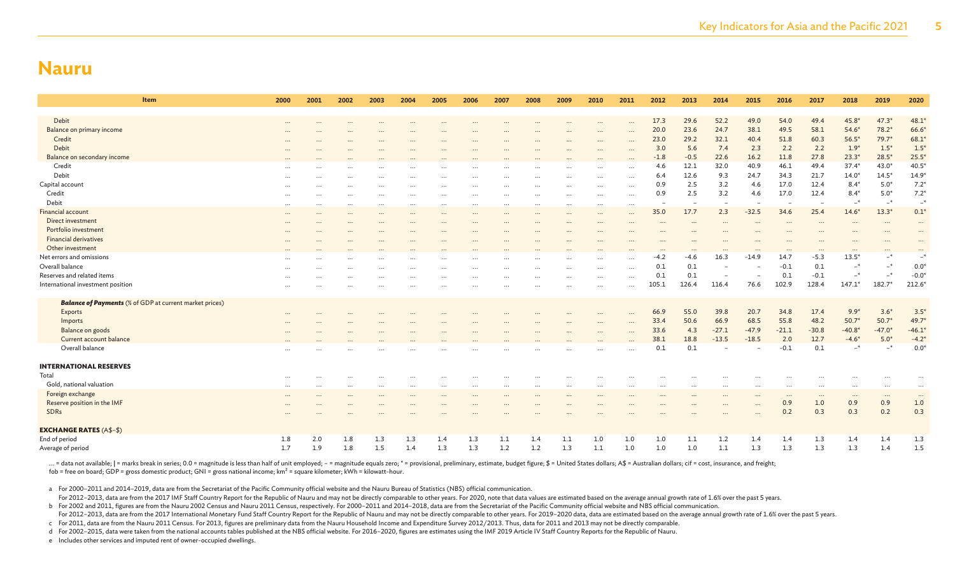| Item                                                           | 2000     | 2001     | 2002     | 2003                 | 2004      | 2005                 | 2006     | 2007     | 2008      | 2009         | 2010                 | 2011          | 2012        | 2013        | 2014                     | 2015        | 2016                 | 2017                     | 2018              | 2019                 | 2020                           |
|----------------------------------------------------------------|----------|----------|----------|----------------------|-----------|----------------------|----------|----------|-----------|--------------|----------------------|---------------|-------------|-------------|--------------------------|-------------|----------------------|--------------------------|-------------------|----------------------|--------------------------------|
|                                                                |          |          |          |                      |           |                      |          |          |           |              |                      |               |             |             |                          |             |                      |                          |                   |                      |                                |
| Debit                                                          |          |          |          |                      |           |                      |          |          |           |              | $\cdots$             |               | 17.3        | 29.6        | 52.2<br>24.7             | 49.0        | 54.0<br>49.5         | 49.4                     | $45.8*$           | $47.3*$              | 48.1                           |
| Balance on primary income                                      |          |          |          |                      |           |                      |          |          |           |              | $\cdots$             |               | 20.0        | 23.6        |                          | 38.1        |                      | 58.1                     | $54.6*$           | $78.2*$              | $66.6*$                        |
| Credit<br>Debit                                                |          |          |          |                      |           |                      |          |          |           |              | $\cdots$             |               | 23.0<br>3.0 | 29.2<br>5.6 | 32.1<br>7.4              | 40.4        | 51.8<br>2.2          | 60.3<br>2.2              | $56.5*$<br>$1.9*$ | $79.7*$<br>$1.5*$    | $68.1$ <sup>*</sup><br>$1.5^*$ |
| Balance on secondary income                                    |          |          |          |                      |           |                      |          |          |           | $\cdots$     | $\ddotsc$            | $\ddotsc$     | $-1.8$      | $-0.5$      | 22.6                     | 2.3<br>16.2 | 11.8                 | 27.8                     | $23.3*$           | $28.5*$              | $25.5^*$                       |
| Credit                                                         |          |          |          |                      |           |                      |          |          |           | $\cdots$     | $\cdots$             |               | 4.6         | 12.1        | 32.0                     | 40.9        | 46.1                 | 49.4                     | $37.4*$           | $43.0*$              | $40.5^*$                       |
| Debit                                                          |          |          |          |                      |           |                      |          |          |           |              | $\ddots$             | $\cdots$      | 6.4         | 12.6        | 9.3                      | 24.7        | 34.3                 | 21.7                     | $14.0*$           | $14.5*$              | $14.9*$                        |
| Capital account                                                |          |          | $\cdots$ |                      |           |                      |          |          |           |              | $\cdots$             |               | 0.9         | 2.5         | 3.2                      | 4.6         | 17.0                 | 12.4                     | $8.4*$            | $5.0*$               | $7.2*$                         |
| Credit                                                         |          |          |          |                      |           |                      |          |          |           |              | $\cdots$<br>$\cdots$ | <br>$\ddotsc$ | 0.9         | 2.5         | 3.2                      | 4.6         | 17.0                 | 12.4                     | $8.4*$            | $5.0*$               | $7.2*$                         |
| Debit                                                          | $\cdots$ | $\cdots$ | $\cdots$ | $\cdots$             | $\cdots$  | $\cdots$<br>$\cdots$ | $\cdots$ | $\cdots$ | $\cdots$  | <br>$\cdots$ | $\cdots$             | $\cdots$      |             |             | $\overline{\phantom{a}}$ |             |                      |                          | $-$ *             | $-$ *                | $-$ *                          |
| <b>Financial account</b>                                       | $\cdots$ |          | $\cdots$ | $\ddotsc$            | $\ddotsc$ | $\cdots$             | $\cdots$ |          | $\ddotsc$ | $\cdots$     | $\cdots$             |               | 35.0        | 17.7        | 2.3                      | $-32.5$     | 34.6                 | 25.4                     | $14.6*$           | $13.3*$              | $0.1*$                         |
| Direct investment                                              |          |          | $\cdots$ | $\ddot{\phantom{a}}$ |           | $\cdots$             | $\cdots$ |          |           |              | $\cdots$             |               | $\ddots$    |             | $\ddotsc$                |             | $\ddot{\phantom{a}}$ | $\overline{\phantom{a}}$ |                   | $\ddot{\phantom{a}}$ | $\cdots$                       |
| Portfolio investment                                           |          |          |          |                      |           |                      |          |          |           | $\cdots$     |                      |               |             |             |                          |             |                      |                          |                   |                      | $\cdots$                       |
| <b>Financial derivatives</b>                                   |          |          |          |                      |           |                      |          |          |           |              |                      |               |             |             |                          |             |                      |                          |                   |                      |                                |
| Other investment                                               |          |          |          |                      |           |                      |          |          |           |              |                      |               | $\ddotsc$   | $\cdots$    |                          |             | $\ddot{\phantom{a}}$ |                          |                   |                      | $\cdots$                       |
| Net errors and omissions                                       |          |          |          |                      |           |                      |          |          |           | $\cdots$     | $\cdots$             | $\ddotsc$     | $-4.2$      | $-4.6$      | 16.3                     | $-14.9$     | 14.7                 | $-5.3$                   | $13.5*$           | $*$                  | $-{}^*$                        |
| Overall balance                                                |          |          |          |                      |           |                      |          |          |           |              | $\ddots$             | $\cdots$      | 0.1         | 0.1         |                          |             | $-0.1$               | 0.1                      | $-*$              | $\ast$               | $0.0*$                         |
| Reserves and related items                                     |          |          |          |                      |           | $\cdots$             | $\cdots$ |          |           | $\cdots$     | $\cdots$             |               | 0.1         | 0.1         | $\overline{\phantom{a}}$ | ۰           | 0.1                  | $-0.1$                   | $-{}^*$           | $\ast$               | $-0.0*$                        |
| International investment position                              |          |          |          |                      |           |                      |          |          |           |              | $\ddots$             |               | 105.1       | 126.4       | 116.4                    | 76.6        | 102.9                | 128.4                    | $147.1*$          | $182.7*$             | $212.6*$                       |
| <b>Balance of Payments</b> (% of GDP at current market prices) |          |          |          |                      |           |                      |          |          |           |              |                      |               |             |             |                          |             |                      |                          |                   |                      |                                |
| Exports                                                        |          |          |          |                      |           |                      |          |          |           |              | $\ddots$             |               | 66.9        | 55.0        | 39.8                     | 20.7        | 34.8                 | 17.4                     | $9.9*$            | $3.6*$               | $3.5^*$                        |
| Imports                                                        |          |          |          |                      |           |                      |          |          |           |              | $\ddots$             | $\ddots$      | 33.4        | 50.6        | 66.9                     | 68.5        | 55.8                 | 48.2                     | $50.7*$           | $50.7*$              | $49.7*$                        |
| Balance on goods                                               |          |          |          |                      |           |                      |          |          |           | $\cdots$     | $\cdots$             | $\ddotsc$     | 33.6        | 4.3         | $-27.1$                  | $-47.9$     | $-21.1$              | $-30.8$                  | $-40.8*$          | $-47.0*$             | $-46.1*$                       |
| Current account balance                                        |          |          |          |                      |           |                      |          |          |           |              |                      |               | 38.1        | 18.8        | $-13.5$                  | $-18.5$     | 2.0                  | 12.7                     | $-4.6*$           | $5.0*$               | $-4.2*$                        |
| Overall balance                                                |          |          |          |                      |           |                      |          |          |           |              |                      |               | 0.1         | 0.1         |                          | ۰           | $-0.1$               | 0.1                      | $-$ *             | $-*$                 | $0.0^{\circ}$                  |
| <b>INTERNATIONAL RESERVES</b>                                  |          |          |          |                      |           |                      |          |          |           |              |                      |               |             |             |                          |             |                      |                          |                   |                      |                                |
| Total                                                          |          |          |          |                      |           |                      |          |          |           |              |                      |               |             |             |                          |             |                      |                          |                   |                      |                                |
| Gold, national valuation                                       | $\cdots$ |          | $\cdots$ | $\cdots$             |           |                      |          | $\cdots$ | $\cdots$  | $\cdots$     | $\cdots$             | $\cdots$      |             |             | $\cdots$                 | $\cdots$    |                      | $\cdots$                 |                   |                      | $\cdots$                       |
| Foreign exchange                                               |          |          | $\cdots$ | $\ddotsc$            | $\ddotsc$ |                      | $\cdots$ |          |           | $\cdots$     | $\cdots$             |               | $\cdots$    |             | $\ddots$                 | $\cdots$    | $\cdots$             | $\cdots$                 | $\cdots$          | $\cdots$             | $\cdots$                       |
| Reserve position in the IMF                                    |          |          |          |                      |           | $\cdots$             | $\cdots$ | $\cdots$ | $\cdots$  | $\cdots$     | $\cdots$             |               | $\ddotsc$   | $\cdots$    | $\ddotsc$                | $\ddotsc$   | 0.9                  | 1.0                      | 0.9               | 0.9                  | 1.0                            |
| SDRs                                                           |          |          |          |                      |           |                      |          |          |           |              |                      |               |             | $\cdots$    | $\cdots$                 | $\cdots$    | 0.2                  | 0.3                      | 0.3               | 0.2                  | 0.3                            |
| <b>EXCHANGE RATES (A\$-\$)</b>                                 |          |          |          |                      |           |                      |          |          |           |              |                      |               |             |             |                          |             |                      |                          |                   |                      |                                |
| End of period                                                  | 1.8      | 2.0      | 1.8      | 1.3                  | 1.3       | 1.4                  | 1.3      | 1.1      | 1.4       | 1.1          | 1.0                  | 1.0           | 1.0         | 1.1         | 1.2                      | 1.4         | 1.4                  | 1.3                      | 1.4               | 1.4                  | 1.3                            |
| Average of period                                              | 1.7      | 1.9      | 1.8      | 1.5                  | 1.4       | 1.3                  | 1.3      | 1.2      | 1.2       | 1.3          | 1.1                  | 1.0           | 1.0         | 1.0         | 1.1                      | 1.3         | 1.3                  | 1.3                      | 1.3               | 1.4                  | 1.5                            |

... = data not available; | = marks break in series; 0.0 = magnitude is less than half of unit employed; - = magnitude equals zero; \* = provisional, preliminary, estimate, budget figure; \$ = United States dollars; A\$ = Aus fob = free on board; GDP = gross domestic product; GNI = gross national income; km² = square kilometer; kWh = kilowatt-hour.

a For 2000–2011 and 2014–2019, data are from the Secretariat of the Pacific Community official website and the Nauru Bureau of Statistics (NBS) official communication.

For 2012-2013, data are from the 2017 IMF Staff Country Report for the Republic of Nauru and may not be directly comparable to other years. For 2020, note that data values are estimated based on the average annual growth r

b For 2002 and 2011, figures are from the Nauru 2002 Census and Nauru 2011 Census, respectively. For 2000-2011 and 2014-2018, data are from the Secretariat of the Pacific Community official website and NBS official communi For 2012-2013, data are from the 2017 International Monetary Fund Staff Country Report for the Republic of Nauru and may not be directly comparable to other years. For 2019-2020 data, data are estimated based on the averag

c For 2011, data are from the Nauru 2011 Census. For 2013, figures are preliminary data from the Nauru Household Income and Expenditure Survey 2012/2013. Thus, data for 2011 and 2013 may not be directly comparable. d For 2002–2015, data were taken from the national accounts tables published at the NBS official website. For 2016–2020, figures are estimates using the IMF 2019 Article IV Staff Country Reports for the Republic of Nauru.

e Includes other services and imputed rent of owner-occupied dwellings.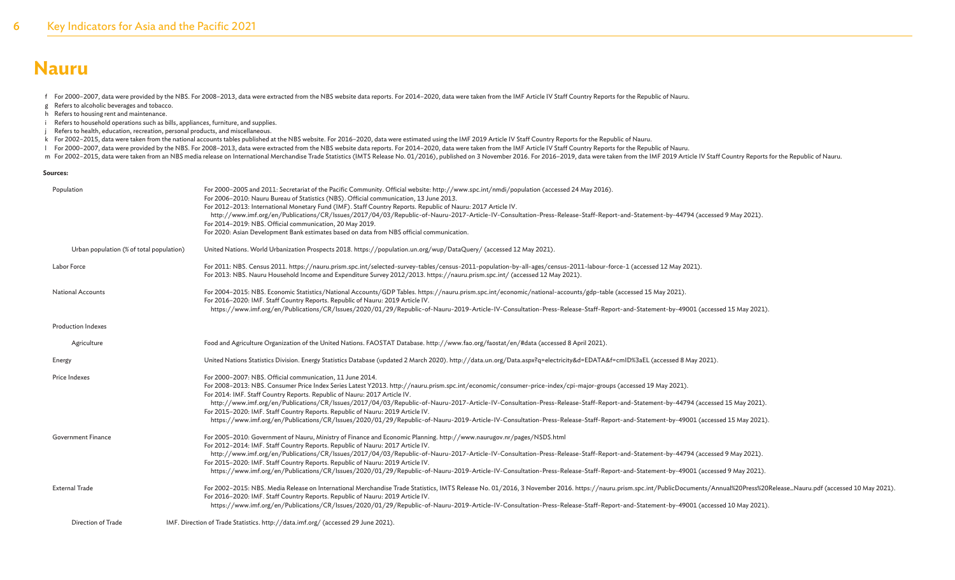f For 2000–2007, data were provided by the NBS. For 2008–2013, data were extracted from the NBS website data reports. For 2014–2020, data were taken from the IMF Article IV Staff Country Reports for the Republic of Nauru.

- g Refers to alcoholic beverages and tobacco.
- h Refers to housing rent and maintenance.
- i Refers to household operations such as bills, appliances, furniture, and supplies.
- Refers to health, education, recreation, personal products, and miscellaneous.
- k For 2002–2015, data were taken from the national accounts tables published at the NBS website. For 2016–2020, data were estimated using the IMF 2019 Article IV Staff Country Reports for the Republic of Nauru.
- l For 2000–2007, data were provided by the NBS. For 2008–2013, data were extracted from the NBS website data reports. For 2014–2020, data were taken from the IMF Article IV Staff Country Reports for the Republic of Nauru.
- m For 2002-2015, data were taken from an NBS media release on International Merchandise Trade Statistics (IMTS Release No. 01/2016), published on 3 November 2016. For 2016-2019, data were taken from the IMF 2019 Article IV

#### **Sources:**

| Population                               | For 2000-2005 and 2011: Secretariat of the Pacific Community. Official website: http://www.spc.int/nmdi/population (accessed 24 May 2016).<br>For 2006-2010: Nauru Bureau of Statistics (NBS). Official communication, 13 June 2013.<br>For 2012-2013: International Monetary Fund (IMF). Staff Country Reports. Republic of Nauru: 2017 Article IV.<br>http://www.imf.org/en/Publications/CR/Issues/2017/04/03/Republic-of-Nauru-2017-Article-IV-Consultation-Press-Release-Staff-Report-and-Statement-by-44794 (accessed 9 May 2021).<br>For 2014-2019: NBS. Official communication, 20 May 2019.<br>For 2020: Asian Development Bank estimates based on data from NBS official communication.                                                                     |
|------------------------------------------|----------------------------------------------------------------------------------------------------------------------------------------------------------------------------------------------------------------------------------------------------------------------------------------------------------------------------------------------------------------------------------------------------------------------------------------------------------------------------------------------------------------------------------------------------------------------------------------------------------------------------------------------------------------------------------------------------------------------------------------------------------------------|
| Urban population (% of total population) | United Nations. World Urbanization Prospects 2018. https://population.un.org/wup/DataQuery/ (accessed 12 May 2021).                                                                                                                                                                                                                                                                                                                                                                                                                                                                                                                                                                                                                                                  |
| Labor Force                              | For 2011: NBS. Census 2011. https://nauru.prism.spc.int/selected-survey-tables/census-2011-population-by-all-ages/census-2011-labour-force-1 (accessed 12 May 2021).<br>For 2013: NBS. Nauru Household Income and Expenditure Survey 2012/2013. https://nauru.prism.spc.int/ (accessed 12 May 2021).                                                                                                                                                                                                                                                                                                                                                                                                                                                                 |
| <b>National Accounts</b>                 | For 2004-2015: NBS. Economic Statistics/National Accounts/GDP Tables. https://nauru.prism.spc.int/economic/national-accounts/gdp-table (accessed 15 May 2021).<br>For 2016-2020: IMF. Staff Country Reports. Republic of Nauru: 2019 Article IV.<br>https://www.imf.org/en/Publications/CR/Issues/2020/01/29/Republic-of-Nauru-2019-Article-IV-Consultation-Press-Release-Staff-Report-and-Statement-by-49001 (accessed 15 May 2021).                                                                                                                                                                                                                                                                                                                                |
| <b>Production Indexes</b>                |                                                                                                                                                                                                                                                                                                                                                                                                                                                                                                                                                                                                                                                                                                                                                                      |
| Agriculture                              | Food and Agriculture Organization of the United Nations. FAOSTAT Database. http://www.fao.org/faostat/en/#data (accessed 8 April 2021).                                                                                                                                                                                                                                                                                                                                                                                                                                                                                                                                                                                                                              |
| Energy                                   | United Nations Statistics Division. Energy Statistics Database (updated 2 March 2020). http://data.un.org/Data.aspx?q=electricity&d=EDATA&f=cmID%3aEL (accessed 8 May 2021).                                                                                                                                                                                                                                                                                                                                                                                                                                                                                                                                                                                         |
| Price Indexes                            | For 2000-2007: NBS. Official communication, 11 June 2014.<br>For 2008-2013: NBS. Consumer Price Index Series Latest Y2013. http://nauru.prism.spc.int/economic/consumer-price-index/cpi-major-groups (accessed 19 May 2021).<br>For 2014: IMF. Staff Country Reports. Republic of Nauru: 2017 Article IV.<br>http://www.imf.org/en/Publications/CR/Issues/2017/04/03/Republic-of-Nauru-2017-Article-IV-Consultation-Press-Release-Staff-Report-and-Statement-by-44794 (accessed 15 May 2021).<br>For 2015-2020: IMF. Staff Country Reports. Republic of Nauru: 2019 Article IV.<br>https://www.imf.org/en/Publications/CR/Issues/2020/01/29/Republic-of-Nauru-2019-Article-IV-Consultation-Press-Release-Staff-Report-and-Statement-by-49001 (accessed 15 May 2021). |
| <b>Government Finance</b>                | For 2005-2010: Government of Nauru, Ministry of Finance and Economic Planning. http://www.naurugov.nr/pages/NSDS.html<br>For 2012-2014: IMF. Staff Country Reports. Republic of Nauru: 2017 Article IV.<br>http://www.imf.org/en/Publications/CR/Issues/2017/04/03/Republic-of-Nauru-2017-Article-IV-Consultation-Press-Release-Staff-Report-and-Statement-by-44794 (accessed 9 May 2021).<br>For 2015-2020: IMF. Staff Country Reports. Republic of Nauru: 2019 Article IV.<br>https://www.imf.org/en/Publications/CR/Issues/2020/01/29/Republic-of-Nauru-2019-Article-IV-Consultation-Press-Release-Staff-Report-and-Statement-by-49001 (accessed 9 May 2021).                                                                                                     |
| <b>External Trade</b>                    | For 2002-2015: NBS. Media Release on International Merchandise Trade Statistics, IMTS Release No. 01/2016, 3 November 2016. https://nauru.prism.spc.int/PublicDocuments/Annual%20Press%20Release_Nauru.pdf (accessed 10 May 20<br>For 2016-2020: IMF. Staff Country Reports. Republic of Nauru: 2019 Article IV.<br>https://www.imf.org/en/Publications/CR/Issues/2020/01/29/Republic-of-Nauru-2019-Article-IV-Consultation-Press-Release-Staff-Report-and-Statement-by-49001 (accessed 10 May 2021).                                                                                                                                                                                                                                                                |
| Direction of Trade                       | IMF. Direction of Trade Statistics. http://data.imf.org/ (accessed 29 June 2021).                                                                                                                                                                                                                                                                                                                                                                                                                                                                                                                                                                                                                                                                                    |